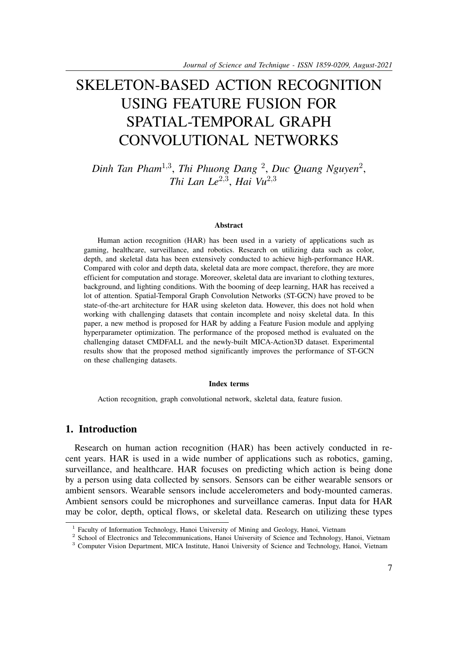# SKELETON-BASED ACTION RECOGNITION USING FEATURE FUSION FOR SPATIAL-TEMPORAL GRAPH CONVOLUTIONAL NETWORKS

*Dinh Tan Pham*1,<sup>3</sup> , *Thi Phuong Dang* <sup>2</sup> , *Duc Quang Nguyen*<sup>2</sup> , *Thi Lan Le*2,<sup>3</sup> , *Hai Vu*2,<sup>3</sup>

#### **Abstract**

Human action recognition (HAR) has been used in a variety of applications such as gaming, healthcare, surveillance, and robotics. Research on utilizing data such as color, depth, and skeletal data has been extensively conducted to achieve high-performance HAR. Compared with color and depth data, skeletal data are more compact, therefore, they are more efficient for computation and storage. Moreover, skeletal data are invariant to clothing textures, background, and lighting conditions. With the booming of deep learning, HAR has received a lot of attention. Spatial-Temporal Graph Convolution Networks (ST-GCN) have proved to be state-of-the-art architecture for HAR using skeleton data. However, this does not hold when working with challenging datasets that contain incomplete and noisy skeletal data. In this paper, a new method is proposed for HAR by adding a Feature Fusion module and applying hyperparameter optimization. The performance of the proposed method is evaluated on the challenging dataset CMDFALL and the newly-built MICA-Action3D dataset. Experimental results show that the proposed method significantly improves the performance of ST-GCN on these challenging datasets.

#### **Index terms**

Action recognition, graph convolutional network, skeletal data, feature fusion.

## **1. Introduction**

Research on human action recognition (HAR) has been actively conducted in recent years. HAR is used in a wide number of applications such as robotics, gaming, surveillance, and healthcare. HAR focuses on predicting which action is being done by a person using data collected by sensors. Sensors can be either wearable sensors or ambient sensors. Wearable sensors include accelerometers and body-mounted cameras. Ambient sensors could be microphones and surveillance cameras. Input data for HAR may be color, depth, optical flows, or skeletal data. Research on utilizing these types

<sup>&</sup>lt;sup>1</sup> Faculty of Information Technology, Hanoi University of Mining and Geology, Hanoi, Vietnam

<sup>&</sup>lt;sup>2</sup> School of Electronics and Telecommunications, Hanoi University of Science and Technology, Hanoi, Vietnam

<sup>&</sup>lt;sup>3</sup> Computer Vision Department, MICA Institute, Hanoi University of Science and Technology, Hanoi, Vietnam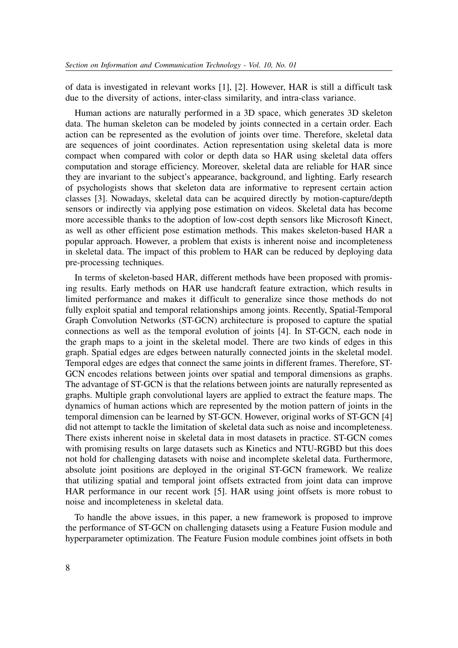of data is investigated in relevant works [1], [2]. However, HAR is still a difficult task due to the diversity of actions, inter-class similarity, and intra-class variance.

Human actions are naturally performed in a 3D space, which generates 3D skeleton data. The human skeleton can be modeled by joints connected in a certain order. Each action can be represented as the evolution of joints over time. Therefore, skeletal data are sequences of joint coordinates. Action representation using skeletal data is more compact when compared with color or depth data so HAR using skeletal data offers computation and storage efficiency. Moreover, skeletal data are reliable for HAR since they are invariant to the subject's appearance, background, and lighting. Early research of psychologists shows that skeleton data are informative to represent certain action classes [3]. Nowadays, skeletal data can be acquired directly by motion-capture/depth sensors or indirectly via applying pose estimation on videos. Skeletal data has become more accessible thanks to the adoption of low-cost depth sensors like Microsoft Kinect, as well as other efficient pose estimation methods. This makes skeleton-based HAR a popular approach. However, a problem that exists is inherent noise and incompleteness in skeletal data. The impact of this problem to HAR can be reduced by deploying data pre-processing techniques.

In terms of skeleton-based HAR, different methods have been proposed with promising results. Early methods on HAR use handcraft feature extraction, which results in limited performance and makes it difficult to generalize since those methods do not fully exploit spatial and temporal relationships among joints. Recently, Spatial-Temporal Graph Convolution Networks (ST-GCN) architecture is proposed to capture the spatial connections as well as the temporal evolution of joints [4]. In ST-GCN, each node in the graph maps to a joint in the skeletal model. There are two kinds of edges in this graph. Spatial edges are edges between naturally connected joints in the skeletal model. Temporal edges are edges that connect the same joints in different frames. Therefore, ST-GCN encodes relations between joints over spatial and temporal dimensions as graphs. The advantage of ST-GCN is that the relations between joints are naturally represented as graphs. Multiple graph convolutional layers are applied to extract the feature maps. The dynamics of human actions which are represented by the motion pattern of joints in the temporal dimension can be learned by ST-GCN. However, original works of ST-GCN [4] did not attempt to tackle the limitation of skeletal data such as noise and incompleteness. There exists inherent noise in skeletal data in most datasets in practice. ST-GCN comes with promising results on large datasets such as Kinetics and NTU-RGBD but this does not hold for challenging datasets with noise and incomplete skeletal data. Furthermore, absolute joint positions are deployed in the original ST-GCN framework. We realize that utilizing spatial and temporal joint offsets extracted from joint data can improve HAR performance in our recent work [5]. HAR using joint offsets is more robust to noise and incompleteness in skeletal data.

To handle the above issues, in this paper, a new framework is proposed to improve the performance of ST-GCN on challenging datasets using a Feature Fusion module and hyperparameter optimization. The Feature Fusion module combines joint offsets in both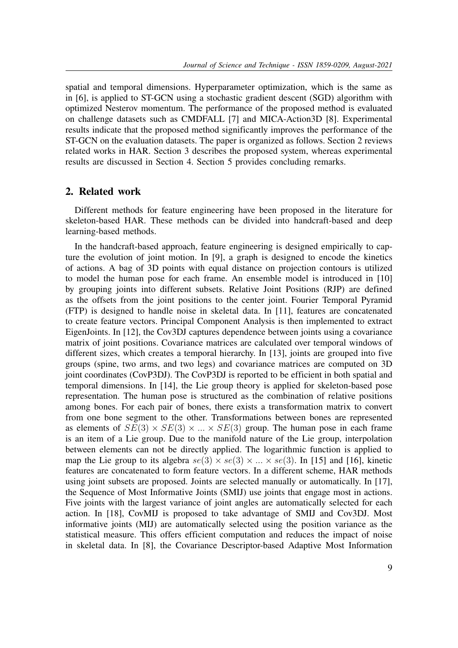spatial and temporal dimensions. Hyperparameter optimization, which is the same as in [6], is applied to ST-GCN using a stochastic gradient descent (SGD) algorithm with optimized Nesterov momentum. The performance of the proposed method is evaluated on challenge datasets such as CMDFALL [7] and MICA-Action3D [8]. Experimental results indicate that the proposed method significantly improves the performance of the ST-GCN on the evaluation datasets. The paper is organized as follows. Section 2 reviews related works in HAR. Section 3 describes the proposed system, whereas experimental results are discussed in Section 4. Section 5 provides concluding remarks.

## **2. Related work**

Different methods for feature engineering have been proposed in the literature for skeleton-based HAR. These methods can be divided into handcraft-based and deep learning-based methods.

In the handcraft-based approach, feature engineering is designed empirically to capture the evolution of joint motion. In [9], a graph is designed to encode the kinetics of actions. A bag of 3D points with equal distance on projection contours is utilized to model the human pose for each frame. An ensemble model is introduced in [10] by grouping joints into different subsets. Relative Joint Positions (RJP) are defined as the offsets from the joint positions to the center joint. Fourier Temporal Pyramid (FTP) is designed to handle noise in skeletal data. In [11], features are concatenated to create feature vectors. Principal Component Analysis is then implemented to extract EigenJoints. In [12], the Cov3DJ captures dependence between joints using a covariance matrix of joint positions. Covariance matrices are calculated over temporal windows of different sizes, which creates a temporal hierarchy. In [13], joints are grouped into five groups (spine, two arms, and two legs) and covariance matrices are computed on 3D joint coordinates (CovP3DJ). The CovP3DJ is reported to be efficient in both spatial and temporal dimensions. In [14], the Lie group theory is applied for skeleton-based pose representation. The human pose is structured as the combination of relative positions among bones. For each pair of bones, there exists a transformation matrix to convert from one bone segment to the other. Transformations between bones are represented as elements of  $SE(3) \times SE(3) \times ... \times SE(3)$  group. The human pose in each frame is an item of a Lie group. Due to the manifold nature of the Lie group, interpolation between elements can not be directly applied. The logarithmic function is applied to map the Lie group to its algebra  $se(3) \times se(3) \times ... \times se(3)$ . In [15] and [16], kinetic features are concatenated to form feature vectors. In a different scheme, HAR methods using joint subsets are proposed. Joints are selected manually or automatically. In [17], the Sequence of Most Informative Joints (SMIJ) use joints that engage most in actions. Five joints with the largest variance of joint angles are automatically selected for each action. In [18], CovMIJ is proposed to take advantage of SMIJ and Cov3DJ. Most informative joints (MIJ) are automatically selected using the position variance as the statistical measure. This offers efficient computation and reduces the impact of noise in skeletal data. In [8], the Covariance Descriptor-based Adaptive Most Information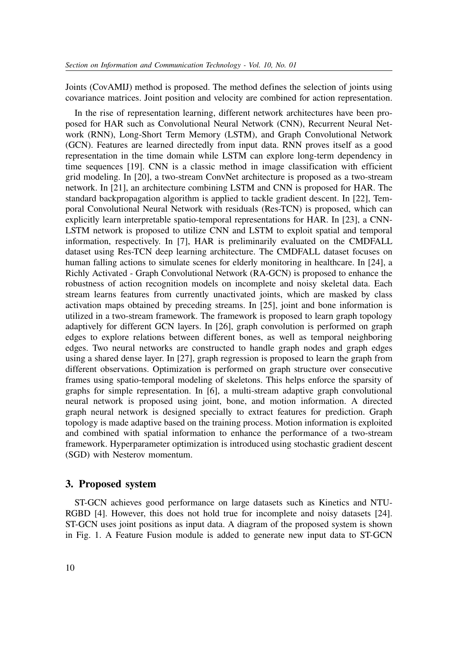Joints (CovAMIJ) method is proposed. The method defines the selection of joints using covariance matrices. Joint position and velocity are combined for action representation.

In the rise of representation learning, different network architectures have been proposed for HAR such as Convolutional Neural Network (CNN), Recurrent Neural Network (RNN), Long-Short Term Memory (LSTM), and Graph Convolutional Network (GCN). Features are learned directedly from input data. RNN proves itself as a good representation in the time domain while LSTM can explore long-term dependency in time sequences [19]. CNN is a classic method in image classification with efficient grid modeling. In [20], a two-stream ConvNet architecture is proposed as a two-stream network. In [21], an architecture combining LSTM and CNN is proposed for HAR. The standard backpropagation algorithm is applied to tackle gradient descent. In [22], Temporal Convolutional Neural Network with residuals (Res-TCN) is proposed, which can explicitly learn interpretable spatio-temporal representations for HAR. In [23], a CNN-LSTM network is proposed to utilize CNN and LSTM to exploit spatial and temporal information, respectively. In [7], HAR is preliminarily evaluated on the CMDFALL dataset using Res-TCN deep learning architecture. The CMDFALL dataset focuses on human falling actions to simulate scenes for elderly monitoring in healthcare. In [24], a Richly Activated - Graph Convolutional Network (RA-GCN) is proposed to enhance the robustness of action recognition models on incomplete and noisy skeletal data. Each stream learns features from currently unactivated joints, which are masked by class activation maps obtained by preceding streams. In [25], joint and bone information is utilized in a two-stream framework. The framework is proposed to learn graph topology adaptively for different GCN layers. In [26], graph convolution is performed on graph edges to explore relations between different bones, as well as temporal neighboring edges. Two neural networks are constructed to handle graph nodes and graph edges using a shared dense layer. In [27], graph regression is proposed to learn the graph from different observations. Optimization is performed on graph structure over consecutive frames using spatio-temporal modeling of skeletons. This helps enforce the sparsity of graphs for simple representation. In [6], a multi-stream adaptive graph convolutional neural network is proposed using joint, bone, and motion information. A directed graph neural network is designed specially to extract features for prediction. Graph topology is made adaptive based on the training process. Motion information is exploited and combined with spatial information to enhance the performance of a two-stream framework. Hyperparameter optimization is introduced using stochastic gradient descent (SGD) with Nesterov momentum.

## **3. Proposed system**

ST-GCN achieves good performance on large datasets such as Kinetics and NTU-RGBD [4]. However, this does not hold true for incomplete and noisy datasets [24]. ST-GCN uses joint positions as input data. A diagram of the proposed system is shown in Fig. 1. A Feature Fusion module is added to generate new input data to ST-GCN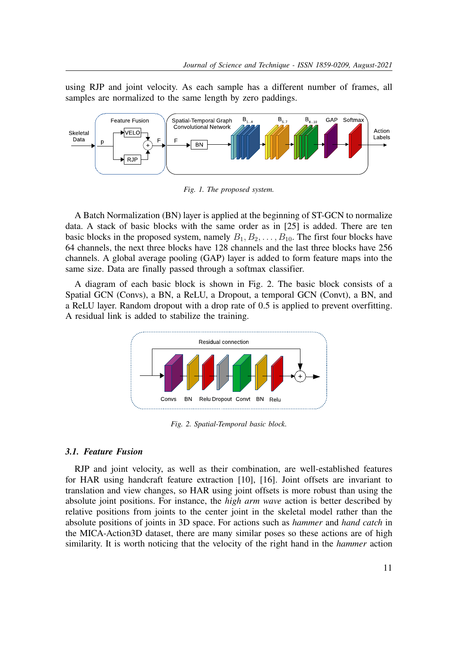using RJP and joint velocity. As each sample has a different number of frames, all samples are normalized to the same length by zero paddings.



*Fig. 1. The proposed system.*

A Batch Normalization (BN) layer is applied at the beginning of ST-GCN to normalize data. A stack of basic blocks with the same order as in [25] is added. There are ten basic blocks in the proposed system, namely  $B_1, B_2, \ldots, B_{10}$ . The first four blocks have 64 channels, the next three blocks have 128 channels and the last three blocks have 256 channels. A global average pooling (GAP) layer is added to form feature maps into the same size. Data are finally passed through a softmax classifier.

A diagram of each basic block is shown in Fig. 2. The basic block consists of a Spatial GCN (Convs), a BN, a ReLU, a Dropout, a temporal GCN (Convt), a BN, and a ReLU layer. Random dropout with a drop rate of 0.5 is applied to prevent overfitting. A residual link is added to stabilize the training.



*Fig. 2. Spatial-Temporal basic block.*

### *3.1. Feature Fusion*

RJP and joint velocity, as well as their combination, are well-established features for HAR using handcraft feature extraction [10], [16]. Joint offsets are invariant to translation and view changes, so HAR using joint offsets is more robust than using the absolute joint positions. For instance, the *high arm wave* action is better described by relative positions from joints to the center joint in the skeletal model rather than the absolute positions of joints in 3D space. For actions such as *hammer* and *hand catch* in the MICA-Action3D dataset, there are many similar poses so these actions are of high similarity. It is worth noticing that the velocity of the right hand in the *hammer* action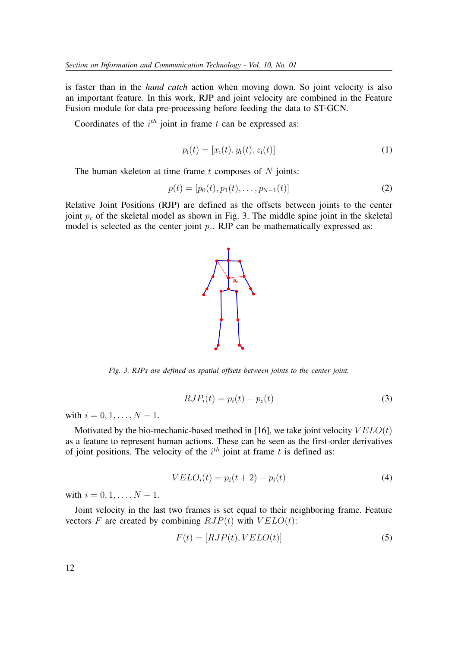is faster than in the *hand catch* action when moving down. So joint velocity is also an important feature. In this work, RJP and joint velocity are combined in the Feature Fusion module for data pre-processing before feeding the data to ST-GCN.

Coordinates of the  $i^{th}$  joint in frame t can be expressed as:

$$
p_i(t) = [x_i(t), y_i(t), z_i(t)]
$$
\n(1)

The human skeleton at time frame  $t$  composes of  $N$  joints:

$$
p(t) = [p_0(t), p_1(t), \dots, p_{N-1}(t)]
$$
\n(2)

Relative Joint Positions (RJP) are defined as the offsets between joints to the center joint  $p_c$  of the skeletal model as shown in Fig. 3. The middle spine joint in the skeletal model is selected as the center joint  $p_c$ . RJP can be mathematically expressed as:



*Fig. 3. RJPs are defined as spatial offsets between joints to the center joint.*

$$
RJP_i(t) = p_i(t) - p_c(t)
$$
\n(3)

with  $i = 0, 1, \ldots, N - 1$ .

Motivated by the bio-mechanic-based method in [16], we take joint velocity  $VELO(t)$ as a feature to represent human actions. These can be seen as the first-order derivatives of joint positions. The velocity of the  $i^{th}$  joint at frame t is defined as:

$$
VELOi(t) = pi(t+2) - pi(t)
$$
\n(4)

with  $i = 0, 1, ..., N - 1$ .

Joint velocity in the last two frames is set equal to their neighboring frame. Feature vectors F are created by combining  $RJP(t)$  with  $VELO(t)$ :

$$
F(t) = [RJP(t), VELO(t)]\tag{5}
$$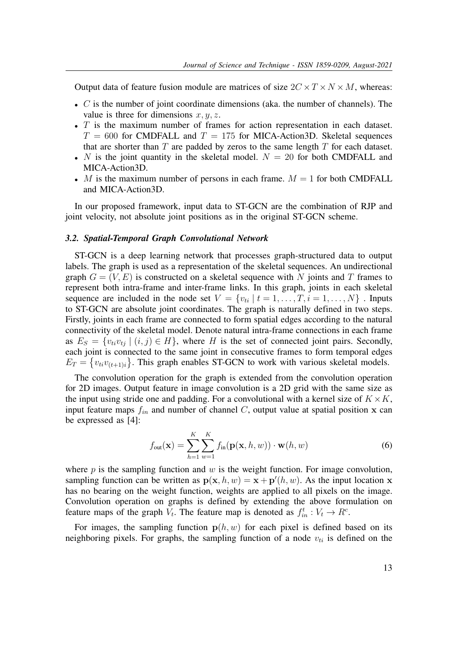Output data of feature fusion module are matrices of size  $2C \times T \times N \times M$ , whereas:

- $\bullet$  C is the number of joint coordinate dimensions (aka. the number of channels). The value is three for dimensions  $x, y, z$ .
- T is the maximum number of frames for action representation in each dataset.  $T = 600$  for CMDFALL and  $T = 175$  for MICA-Action3D. Skeletal sequences that are shorter than  $T$  are padded by zeros to the same length  $T$  for each dataset.
- N is the joint quantity in the skeletal model.  $N = 20$  for both CMDFALL and MICA-Action3D.
- M is the maximum number of persons in each frame.  $M = 1$  for both CMDFALL and MICA-Action3D.

In our proposed framework, input data to ST-GCN are the combination of RJP and joint velocity, not absolute joint positions as in the original ST-GCN scheme.

#### *3.2. Spatial-Temporal Graph Convolutional Network*

ST-GCN is a deep learning network that processes graph-structured data to output labels. The graph is used as a representation of the skeletal sequences. An undirectional graph  $G = (V, E)$  is constructed on a skeletal sequence with N joints and T frames to represent both intra-frame and inter-frame links. In this graph, joints in each skeletal sequence are included in the node set  $V = \{v_{ti} | t = 1, \ldots, T, i = 1, \ldots, N\}$ . Inputs to ST-GCN are absolute joint coordinates. The graph is naturally defined in two steps. Firstly, joints in each frame are connected to form spatial edges according to the natural connectivity of the skeletal model. Denote natural intra-frame connections in each frame as  $E_S = \{v_{ti}v_{tj} \mid (i,j) \in H\}$ , where H is the set of connected joint pairs. Secondly, each joint is connected to the same joint in consecutive frames to form temporal edges  $E_T = \{v_{ti}v_{(t+1)i}\}\.$  This graph enables ST-GCN to work with various skeletal models.

The convolution operation for the graph is extended from the convolution operation for 2D images. Output feature in image convolution is a 2D grid with the same size as the input using stride one and padding. For a convolutional with a kernel size of  $K \times K$ , input feature maps  $f_{in}$  and number of channel C, output value at spatial position x can be expressed as [4]:

$$
f_{\text{out}}(\mathbf{x}) = \sum_{h=1}^{K} \sum_{w=1}^{K} f_{\text{in}}(\mathbf{p}(\mathbf{x}, h, w)) \cdot \mathbf{w}(h, w)
$$
(6)

where  $p$  is the sampling function and  $w$  is the weight function. For image convolution, sampling function can be written as  $p(x, h, w) = x + p'(h, w)$ . As the input location x has no bearing on the weight function, weights are applied to all pixels on the image. Convolution operation on graphs is defined by extending the above formulation on feature maps of the graph  $V_t$ . The feature map is denoted as  $f_{in}^t : V_t \to R^c$ .

For images, the sampling function  $p(h, w)$  for each pixel is defined based on its neighboring pixels. For graphs, the sampling function of a node  $v_{ti}$  is defined on the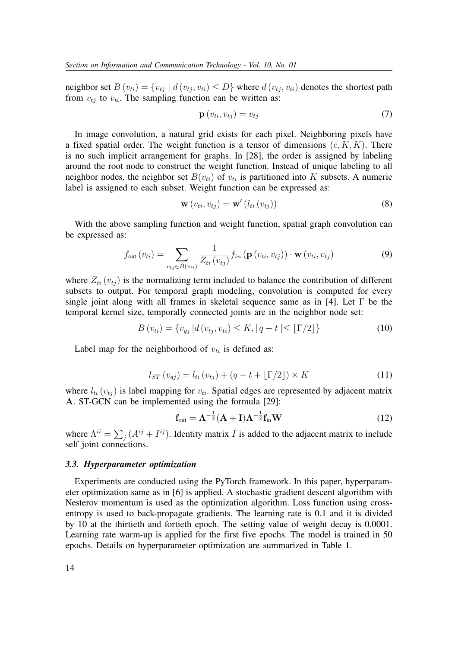neighbor set  $B(v_{ti}) = \{v_{ti} \mid d(v_{ti}, v_{ti}) \leq D\}$  where  $d(v_{ti}, v_{ti})$  denotes the shortest path from  $v_{ti}$  to  $v_{ti}$ . The sampling function can be written as:

$$
\mathbf{p}\left(v_{ti}, v_{tj}\right) = v_{tj} \tag{7}
$$

In image convolution, a natural grid exists for each pixel. Neighboring pixels have a fixed spatial order. The weight function is a tensor of dimensions  $(c, K, K)$ . There is no such implicit arrangement for graphs. In [28], the order is assigned by labeling around the root node to construct the weight function. Instead of unique labeling to all neighbor nodes, the neighbor set  $B(v_{ti})$  of  $v_{ti}$  is partitioned into K subsets. A numeric label is assigned to each subset. Weight function can be expressed as:

$$
\mathbf{w}\left(v_{ti}, v_{tj}\right) = \mathbf{w}'\left(l_{ti}\left(v_{tj}\right)\right) \tag{8}
$$

With the above sampling function and weight function, spatial graph convolution can be expressed as:

$$
f_{\text{out}}(v_{ti}) = \sum_{v_{tj} \in B(v_{ti})} \frac{1}{Z_{ti}(v_{tj})} f_{in} \left( \mathbf{p} \left( v_{ti}, v_{tj} \right) \right) \cdot \mathbf{w} \left( v_{ti}, v_{tj} \right) \tag{9}
$$

where  $Z_{ti}$  ( $v_{ti}$ ) is the normalizing term included to balance the contribution of different subsets to output. For temporal graph modeling, convolution is computed for every single joint along with all frames in skeletal sequence same as in [4]. Let  $\Gamma$  be the temporal kernel size, temporally connected joints are in the neighbor node set:

$$
B(v_{ti}) = \{v_{qj} | d(v_{tj}, v_{ti}) \le K, |q - t| \le \lfloor \Gamma/2 \rfloor\}
$$
 (10)

Label map for the neighborhood of  $v_{ti}$  is defined as:

$$
l_{ST}(v_{qj}) = l_{ti}(v_{tj}) + (q - t + \lfloor \Gamma/2 \rfloor) \times K \tag{11}
$$

where  $l_{ti}$  ( $v_{tj}$ ) is label mapping for  $v_{ti}$ . Spatial edges are represented by adjacent matrix A. ST-GCN can be implemented using the formula [29]:

$$
\mathbf{f}_{\text{out}} = \boldsymbol{\Lambda}^{-\frac{1}{2}} (\mathbf{A} + \mathbf{I}) \boldsymbol{\Lambda}^{-\frac{1}{2}} \mathbf{f}_{\text{in}} \mathbf{W}
$$
 (12)

where  $\Lambda^{ii} = \sum_j (A^{ij} + I^{ij})$ . Identity matrix *I* is added to the adjacent matrix to include self joint connections.

#### *3.3. Hyperparameter optimization*

Experiments are conducted using the PyTorch framework. In this paper, hyperparameter optimization same as in [6] is applied. A stochastic gradient descent algorithm with Nesterov momentum is used as the optimization algorithm. Loss function using crossentropy is used to back-propagate gradients. The learning rate is 0.1 and it is divided by 10 at the thirtieth and fortieth epoch. The setting value of weight decay is 0.0001. Learning rate warm-up is applied for the first five epochs. The model is trained in 50 epochs. Details on hyperparameter optimization are summarized in Table 1.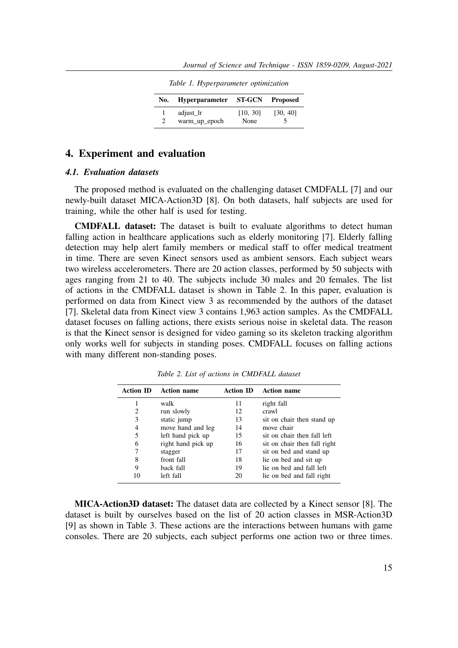|  |  | Table 1. Hyperparameter optimization |
|--|--|--------------------------------------|
|  |  |                                      |

| No. | <b>Hyperparameter</b>      | <b>ST-GCN</b>    | <b>Proposed</b> |
|-----|----------------------------|------------------|-----------------|
|     | adjust_lr<br>warm_up_epoch | [10, 30]<br>None | [30, 40]        |

## **4. Experiment and evaluation**

### *4.1. Evaluation datasets*

The proposed method is evaluated on the challenging dataset CMDFALL [7] and our newly-built dataset MICA-Action3D [8]. On both datasets, half subjects are used for training, while the other half is used for testing.

**CMDFALL dataset:** The dataset is built to evaluate algorithms to detect human falling action in healthcare applications such as elderly monitoring [7]. Elderly falling detection may help alert family members or medical staff to offer medical treatment in time. There are seven Kinect sensors used as ambient sensors. Each subject wears two wireless accelerometers. There are 20 action classes, performed by 50 subjects with ages ranging from 21 to 40. The subjects include 30 males and 20 females. The list of actions in the CMDFALL dataset is shown in Table 2. In this paper, evaluation is performed on data from Kinect view 3 as recommended by the authors of the dataset [7]. Skeletal data from Kinect view 3 contains 1,963 action samples. As the CMDFALL dataset focuses on falling actions, there exists serious noise in skeletal data. The reason is that the Kinect sensor is designed for video gaming so its skeleton tracking algorithm only works well for subjects in standing poses. CMDFALL focuses on falling actions with many different non-standing poses.

| <b>Action ID</b> | <b>Action name</b> | <b>Action ID</b> | <b>Action name</b>           |
|------------------|--------------------|------------------|------------------------------|
|                  | walk               | 11               | right fall                   |
| 2                | run slowly         | 12               | crawl                        |
| 3                | static jump        | 13               | sit on chair then stand up   |
| 4                | move hand and leg  | 14               | move chair                   |
| 5                | left hand pick up  | 15               | sit on chair then fall left  |
| 6                | right hand pick up | 16               | sit on chair then fall right |
| 7                | stagger            | 17               | sit on bed and stand up      |
| 8                | front fall         | 18               | lie on bed and sit up        |
| 9                | back fall          | 19               | lie on bed and fall left     |
| 10               | left fall          | 20               | lie on bed and fall right    |

*Table 2. List of actions in CMDFALL dataset*

**MICA-Action3D dataset:** The dataset data are collected by a Kinect sensor [8]. The dataset is built by ourselves based on the list of 20 action classes in MSR-Action3D [9] as shown in Table 3. These actions are the interactions between humans with game consoles. There are 20 subjects, each subject performs one action two or three times.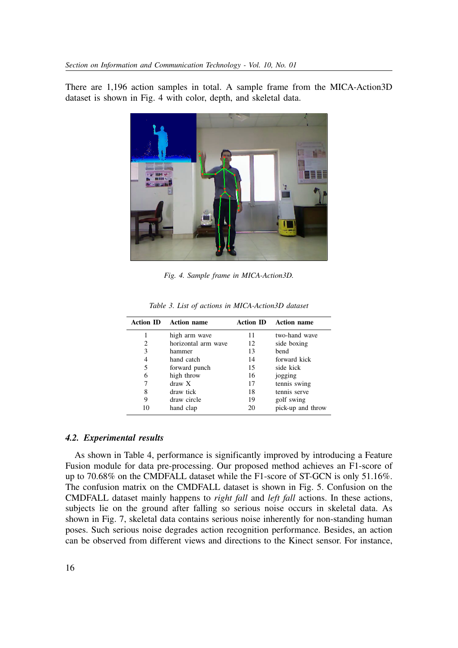There are 1,196 action samples in total. A sample frame from the MICA-Action3D dataset is shown in Fig. 4 with color, depth, and skeletal data.



*Fig. 4. Sample frame in MICA-Action3D.*

|    | <b>Action ID</b> Action name |    | <b>Action ID</b> Action name |
|----|------------------------------|----|------------------------------|
|    | high arm wave                | 11 | two-hand wave                |
| 2  | horizontal arm wave          | 12 | side boxing                  |
| 3  | hammer                       | 13 | bend                         |
| 4  | hand catch                   | 14 | forward kick                 |
| 5  | forward punch                | 15 | side kick                    |
| 6  | high throw                   | 16 | jogging                      |
|    | $draw \ X$                   | 17 | tennis swing                 |
| 8  | draw tick                    | 18 | tennis serve                 |
| 9  | draw circle                  | 19 | golf swing                   |
| 10 | hand clap                    | 20 | pick-up and throw            |

*Table 3. List of actions in MICA-Action3D dataset*

#### *4.2. Experimental results*

As shown in Table 4, performance is significantly improved by introducing a Feature Fusion module for data pre-processing. Our proposed method achieves an F1-score of up to 70.68% on the CMDFALL dataset while the F1-score of ST-GCN is only 51.16%. The confusion matrix on the CMDFALL dataset is shown in Fig. 5. Confusion on the CMDFALL dataset mainly happens to *right fall* and *left fall* actions. In these actions, subjects lie on the ground after falling so serious noise occurs in skeletal data. As shown in Fig. 7, skeletal data contains serious noise inherently for non-standing human poses. Such serious noise degrades action recognition performance. Besides, an action can be observed from different views and directions to the Kinect sensor. For instance,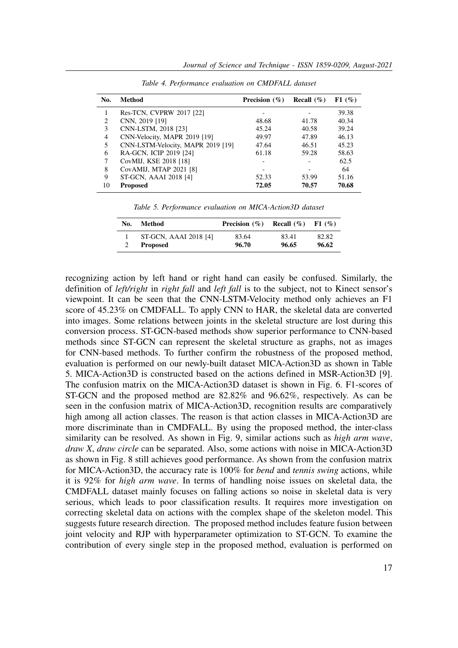| No. | Method                            | Precision $(\% )$ | <b>Recall</b> $(\% )$ | F1(%) |
|-----|-----------------------------------|-------------------|-----------------------|-------|
|     | Res-TCN, CVPRW 2017 [22]          |                   |                       | 39.38 |
| 2   | CNN, 2019 [19]                    | 48.68             | 41.78                 | 40.34 |
| 3   | CNN-LSTM, 2018 [23]               | 45.24             | 40.58                 | 39.24 |
| 4   | CNN-Velocity, MAPR 2019 [19]      | 49.97             | 47.89                 | 46.13 |
| 5   | CNN-LSTM-Velocity, MAPR 2019 [19] | 47.64             | 46.51                 | 45.23 |
| 6   | RA-GCN, ICIP 2019 [24]            | 61.18             | 59.28                 | 58.63 |
|     | CovMIJ, KSE 2018 [18]             |                   |                       | 62.5  |
| 8   | CovAMIJ, MTAP 2021 [8]            |                   |                       | 64    |
| 9   | ST-GCN, AAAI 2018 [4]             | 52.33             | 53.99                 | 51.16 |
| 10  | <b>Proposed</b>                   | 72.05             | 70.57                 | 70.68 |

*Table 4. Performance evaluation on CMDFALL dataset*

*Table 5. Performance evaluation on MICA-Action3D dataset*

| No. | Method                                   | Precision $(\% )$ | Recall $(\% )$ | F1(%)          |
|-----|------------------------------------------|-------------------|----------------|----------------|
|     | ST-GCN, AAAI 2018 [4]<br><b>Proposed</b> | 83.64<br>96.70    | 83.41<br>96.65 | 82.82<br>96.62 |
|     |                                          |                   |                |                |

recognizing action by left hand or right hand can easily be confused. Similarly, the definition of *left/right* in *right fall* and *left fall* is to the subject, not to Kinect sensor's viewpoint. It can be seen that the CNN-LSTM-Velocity method only achieves an F1 score of 45.23% on CMDFALL. To apply CNN to HAR, the skeletal data are converted into images. Some relations between joints in the skeletal structure are lost during this conversion process. ST-GCN-based methods show superior performance to CNN-based methods since ST-GCN can represent the skeletal structure as graphs, not as images for CNN-based methods. To further confirm the robustness of the proposed method, evaluation is performed on our newly-built dataset MICA-Action3D as shown in Table 5. MICA-Action3D is constructed based on the actions defined in MSR-Action3D [9]. The confusion matrix on the MICA-Action3D dataset is shown in Fig. 6. F1-scores of ST-GCN and the proposed method are 82.82% and 96.62%, respectively. As can be seen in the confusion matrix of MICA-Action3D, recognition results are comparatively high among all action classes. The reason is that action classes in MICA-Action3D are more discriminate than in CMDFALL. By using the proposed method, the inter-class similarity can be resolved. As shown in Fig. 9, similar actions such as *high arm wave*, *draw X*, *draw circle* can be separated. Also, some actions with noise in MICA-Action3D as shown in Fig. 8 still achieves good performance. As shown from the confusion matrix for MICA-Action3D, the accuracy rate is 100% for *bend* and *tennis swing* actions, while it is 92% for *high arm wave*. In terms of handling noise issues on skeletal data, the CMDFALL dataset mainly focuses on falling actions so noise in skeletal data is very serious, which leads to poor classification results. It requires more investigation on correcting skeletal data on actions with the complex shape of the skeleton model. This suggests future research direction. The proposed method includes feature fusion between joint velocity and RJP with hyperparameter optimization to ST-GCN. To examine the contribution of every single step in the proposed method, evaluation is performed on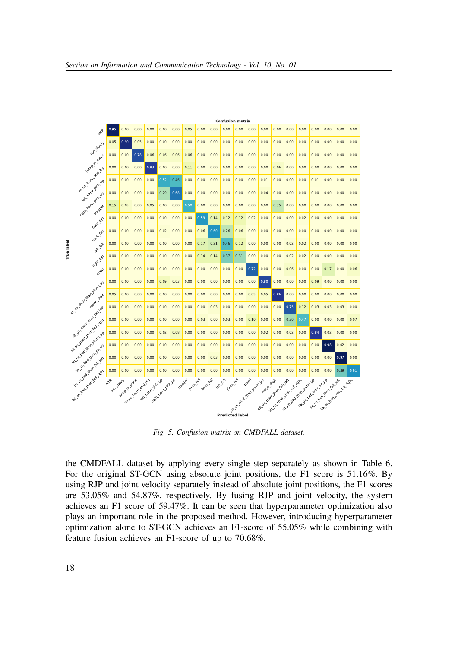

*Fig. 5. Confusion matrix on CMDFALL dataset.*

the CMDFALL dataset by applying every single step separately as shown in Table 6. For the original ST-GCN using absolute joint positions, the F1 score is 51.16%. By using RJP and joint velocity separately instead of absolute joint positions, the F1 scores are 53.05% and 54.87%, respectively. By fusing RJP and joint velocity, the system achieves an F1 score of 59.47%. It can be seen that hyperparameter optimization also plays an important role in the proposed method. However, introducing hyperparameter optimization alone to ST-GCN achieves an F1-score of 55.05% while combining with feature fusion achieves an F1-score of up to 70.68%.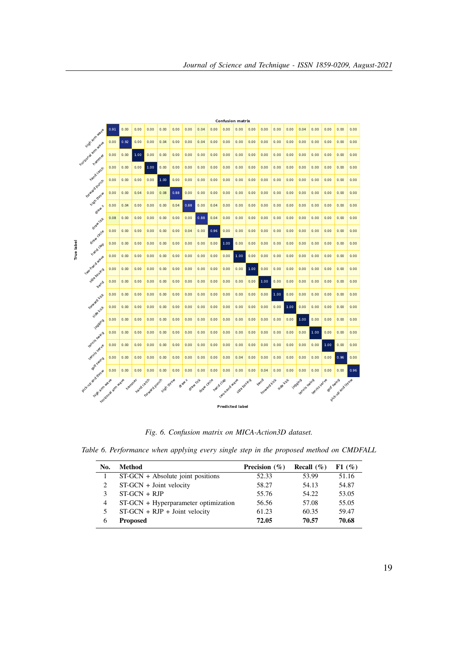|            |                                   |                  |        |            |               |            |      |                   |             |           | <b>Confusion matrix</b> |             |      |                             |           |      |                                |             |             |                     |      |
|------------|-----------------------------------|------------------|--------|------------|---------------|------------|------|-------------------|-------------|-----------|-------------------------|-------------|------|-----------------------------|-----------|------|--------------------------------|-------------|-------------|---------------------|------|
|            |                                   | 0.91             | 0.00   | 0.00       | 0.00          | 0.00       | 0.00 | 0.00              | 0.04        | 0.00      | 0.00                    | 0.00        | 0.00 | 0.00                        | 0.00      | 0.00 | 0.04                           | 0.00        | 0.00        | 0.00                | 0.00 |
|            | night am wave                     | 0.00             | 0.92   | 0.00       | 0.00          | 0.04       | 0.00 | 0.00              | 0.04        | 0.00      | 0.00                    | 0.00        | 0.00 | 0.00                        | 0.00      | 0.00 | 0.00                           | 0.00        | 0.00        | 0.00                | 0.00 |
|            | horizona amusove                  | 0.00             | 0.00   | 1.00       | 0.00          | 0.00       | 0.00 | 0.00              | 0.00        | 0.00      | 0.00                    | 0.00        | 0.00 | 0.00                        | 0.00      | 0.00 | 0.00                           | 0.00        | 0.00        | 0.00                | 0.00 |
|            | nand carch                        | 0.00             | 0.00   | 0.00       | 1.00          | 0.00       | 0.00 | 0.00              | 0.00        | 0.00      | 0.00                    | 0.00        | 0.00 | 0.00                        | 0.00      | 0.00 | 0.00                           | 0.00        | 0.00        | 0.00                | 0.00 |
|            |                                   | 0.00             | 0.00   | 0.00       | 0.00          | 1.00       | 0.00 | 0.00              | 0.00        | 0.00      | 0.00                    | 0.00        | 0.00 | 0.00                        | 0.00      | 0.00 | 0.00                           | 0.00        | 0.00        | 0.00                | 0.00 |
|            | Forward punch<br>nigh throw       | 0.00             | 0.00   | 0.04       | 0.00          | 0.08       | 0.88 | 0.00              | 0.00        | 0.00      | 0.00                    | 0.00        | 0.00 | 0.00                        | 0.00      | 0.00 | 0.00                           | 0.00        | 0.00        | 0.00                | 0.00 |
|            | draw+                             | 0.00             | 0.04   | 0.00       | 0.00          | 0.00       | 0.04 | 0.88              | 0.00        | 0.04      | 0.00                    | 0.00        | 0.00 | 0.00                        | 0.00      | 0.00 | 0.00                           | 0.00        | 0.00        | 0.00                | 0.00 |
|            | draw tick                         | 0.08             | 0.00   | 0.00       | 0.00          | 0.00       | 0.00 | 0.00              | 0.88        | 0.04      | 0.00                    | 0.00        | 0.00 | 0.00                        | 0.00      | 0.00 | 0.00                           | 0.00        | 0.00        | 0.00                | 0.00 |
|            | draw circle                       | 0.00             | 0.00   | 0.00       | 0.00          | 0.00       | 0.00 | 0.04              | 0.00        | 0.96      | 0.00                    | 0.00        | 0.00 | 0.00                        | 0.00      | 0.00 | 0.00                           | 0.00        | 0.00        | 0.00                | 0.00 |
|            | nand dap                          | 0.00             | 0.00   | 0.00       | 0.00          | 0.00       | 0.00 | 0.00              | 0.00        | 0.00      | 1.00                    | 0.00        | 0.00 | 0.00                        | 0.00      | 0.00 | 0.00                           | 0.00        | 0.00        | 0.00                | 0.00 |
| True label |                                   | 0.00             | 0.00   | 0.00       | 0.00          | 0.00       | 0.00 | 0.00              | 0.00        | 0.00      | 0.00                    | 1.00        | 0.00 | 0.00                        | 0.00      | 0.00 | 0.00                           | 0.00        | 0.00        | 0.00                | 0.00 |
|            | Istigatowa Waye<br>Side boxing    | 0.00             | 0.00   | 0.00       | 0.00          | 0.00       | 0.00 | 0.00              | 0.00        | 0.00      | 0.00                    | 0.00        | 1.00 | 0.00                        | 0.00      | 0.00 | 0.00                           | 0.00        | 0.00        | 0.00                | 0.00 |
|            | <b>vendo</b>                      | 0.00             | 0.00   | 0.00       | 0.00          | 0.00       | 0.00 | 0.00              | 0.00        | 0.00      | 0.00                    | 0.00        | 0.00 | 1.00                        | 0.00      | 0.00 | 0.00                           | 0.00        | 0.00        | 0.00                | 0.00 |
|            |                                   | 0.00             | 0.00   | 0.00       | 0.00          | 0.00       | 0.00 | 0.00              | 0.00        | 0.00      | 0.00                    | 0.00        | 0.00 | 0.00                        | 1.00      | 0.00 | 0.00                           | 0.00        | 0.00        | 0.00                | 0.00 |
|            | Forward Kick<br>side kick         | 0.00             | 0.00   | 0.00       | 0.00          | 0.00       | 0.00 | 0.00              | 0.00        | 0.00      | 0.00                    | 0.00        | 0.00 | 0.00                        | 0.00      | 1.00 | 0.00                           | 0.00        | 0.00        | 0.00                | 0.00 |
|            | logging                           | 0.00             | 0.00   | 0.00       | 0.00          | 0.00       | 0.00 | 0.00              | 0.00        | 0.00      | 0.00                    | 0.00        | 0.00 | 0.00                        | 0.00      | 0.00 | 1.00                           | 0.00        | 0.00        | 0.00                | 0.00 |
|            |                                   | 0.00             | 0.00   | 0.00       | 0.00          | 0.00       | 0.00 | 0.00              | 0.00        | 0.00      | 0.00                    | 0.00        | 0.00 | 0.00                        | 0.00      | 0.00 | 0.00                           | 1.00        | 0.00        | 0.00                | 0.00 |
|            | vennis swing                      | 0.00             | 0.00   | 0.00       | 0.00          | 0.00       | 0.00 | 0.00              | 0.00        | 0.00      | 0.00                    | 0.00        | 0.00 | 0.00                        | 0.00      | 0.00 | 0.00                           | 0.00        | 1.00        | 0.00                | 0.00 |
|            | remnis serve<br>golf swing        | 0.00             | 0.00   | 0.00       | 0.00          | 0.00       | 0.00 | 0.00              | 0.00        | 0.00      | 0.00                    | 0.04        | 0.00 | 0.00                        | 0.00      | 0.00 | 0.00                           | 0.00        | 0.00        | 0.96                | 0.00 |
|            |                                   | 0.00             | 0.00   | 0.00       | 0.00          | 0.00       | 0.00 | 0.00              | 0.00        | 0.00      | 0.00                    | 0.00        | 0.00 | 0.04                        | 0.00      | 0.00 | 0.00                           | 0.00        | 0.00        | 0.00                | 0.96 |
|            | Pick-up and throw<br>nich am wave | norizona am-waie | nammer | nand catch | Forward punch | nigh throw |      | draw+<br>drawtick | draw circle | nand clap | Istio Trand Wave        | Side boxing |      | <b>vend</b><br>Forward Kick | side kick |      | <b>Yogoing</b><br>Yennis Swing | Yemis serve | Dooff Swing | Poletype and trices |      |
|            |                                   |                  |        |            |               |            |      |                   |             |           |                         |             |      |                             |           |      |                                |             |             |                     |      |
|            |                                   |                  |        |            |               |            |      |                   |             |           | <b>Predicted label</b>  |             |      |                             |           |      |                                |             |             |                     |      |

*Fig. 6. Confusion matrix on MICA-Action3D dataset.*

|  | Table 6. Performance when applying every single step in the proposed method on CMDFALL |  |  |  |  |  |  |  |  |  |  |
|--|----------------------------------------------------------------------------------------|--|--|--|--|--|--|--|--|--|--|
|--|----------------------------------------------------------------------------------------|--|--|--|--|--|--|--|--|--|--|

| No.          | Method                                 | Precision $(\%)$ | Recall $(\%)$ | F1(%) |
|--------------|----------------------------------------|------------------|---------------|-------|
|              | $ST-GCN + Absolute$ joint positions    | 52.33            | 53.99         | 51.16 |
| 2            | ST-GCN + Joint velocity                | 58.27            | 54.13         | 54.87 |
| 3            | $ST-GCN + RIP$                         | 55.76            | 54.22         | 53.05 |
| 4            | $ST-GCN + Hyperparameter$ optimization | 56.56            | 57.08         | 55.05 |
| 5            | $ST-GCN + RJP + Joint velocity$        | 61.23            | 60.35         | 59.47 |
| <sub>b</sub> | <b>Proposed</b>                        | 72.05            | 70.57         | 70.68 |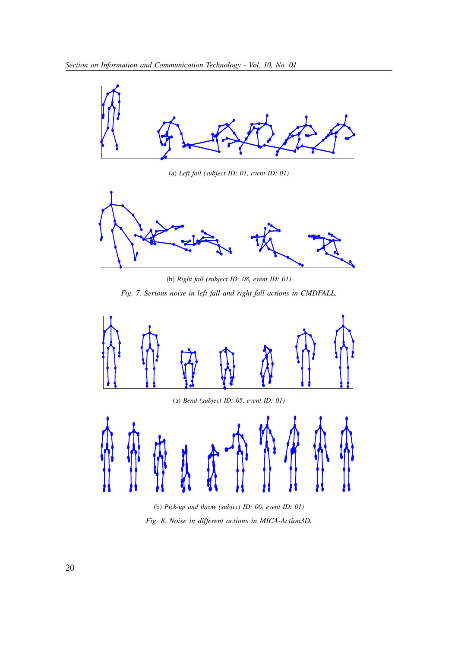

(a) *Left fall (subject ID: 01, event ID: 01)*



(b) *Right fall (subject ID: 08, event ID: 01) Fig. 7. Serious noise in left fall and right fall actions in CMDFALL.*



(a) *Bend (subject ID: 05, event ID: 01)*



(b) *Pick-up and throw (subject ID: 06, event ID: 01) Fig. 8. Noise in different actions in MICA-Action3D.*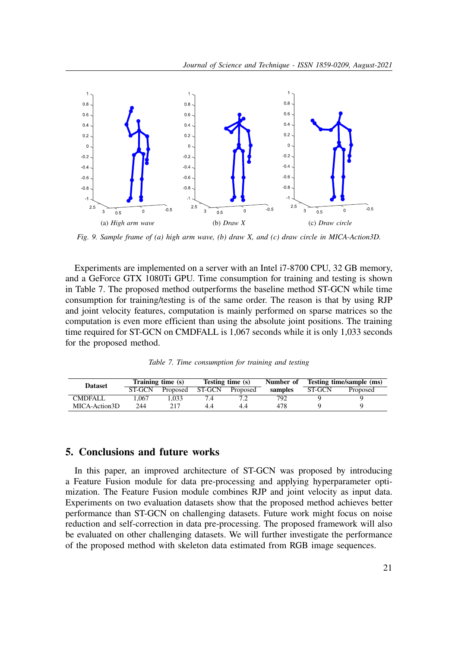

*Fig. 9. Sample frame of (a) high arm wave, (b) draw X, and (c) draw circle in MICA-Action3D.*

Experiments are implemented on a server with an Intel i7-8700 CPU, 32 GB memory, and a GeForce GTX 1080Ti GPU. Time consumption for training and testing is shown in Table 7. The proposed method outperforms the baseline method ST-GCN while time consumption for training/testing is of the same order. The reason is that by using RJP and joint velocity features, computation is mainly performed on sparse matrices so the computation is even more efficient than using the absolute joint positions. The training time required for ST-GCN on CMDFALL is 1,067 seconds while it is only 1,033 seconds for the proposed method.

*Table 7. Time consumption for training and testing*

| <b>Dataset</b> |        | Training time (s) |        | Testing time (s) | Number of |               | Testing time/sample (ms) |
|----------------|--------|-------------------|--------|------------------|-----------|---------------|--------------------------|
|                | ST-GCN | Proposed          | ST-GCN | Proposed         | samples   | <b>ST-GCN</b> | Proposed                 |
| CMDFALL        | 1.067  | .033              | 7.4    |                  | 792.      |               |                          |
| MICA-Action3D  | 244    | 217               |        | 4.4              | 478       |               |                          |

## **5. Conclusions and future works**

In this paper, an improved architecture of ST-GCN was proposed by introducing a Feature Fusion module for data pre-processing and applying hyperparameter optimization. The Feature Fusion module combines RJP and joint velocity as input data. Experiments on two evaluation datasets show that the proposed method achieves better performance than ST-GCN on challenging datasets. Future work might focus on noise reduction and self-correction in data pre-processing. The proposed framework will also be evaluated on other challenging datasets. We will further investigate the performance of the proposed method with skeleton data estimated from RGB image sequences.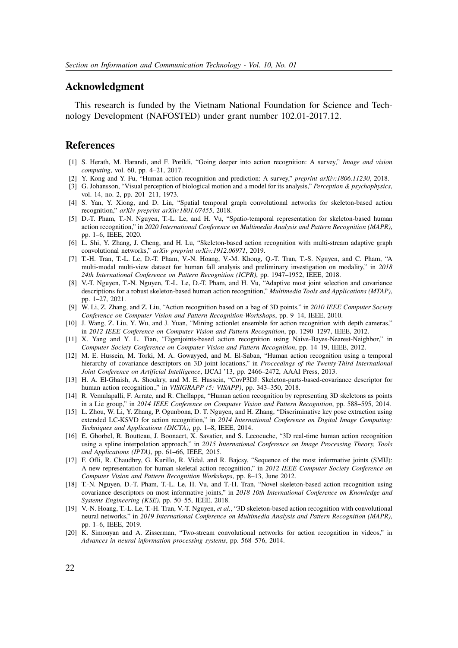## **Acknowledgment**

This research is funded by the Vietnam National Foundation for Science and Technology Development (NAFOSTED) under grant number 102.01-2017.12.

## **References**

- [1] S. Herath, M. Harandi, and F. Porikli, "Going deeper into action recognition: A survey," *Image and vision computing*, vol. 60, pp. 4–21, 2017.
- [2] Y. Kong and Y. Fu, "Human action recognition and prediction: A survey," *preprint arXiv:1806.11230*, 2018.
- [3] G. Johansson, "Visual perception of biological motion and a model for its analysis," *Perception & psychophysics*, vol. 14, no. 2, pp. 201–211, 1973.
- [4] S. Yan, Y. Xiong, and D. Lin, "Spatial temporal graph convolutional networks for skeleton-based action recognition," *arXiv preprint arXiv:1801.07455*, 2018.
- [5] D.-T. Pham, T.-N. Nguyen, T.-L. Le, and H. Vu, "Spatio-temporal representation for skeleton-based human action recognition," in *2020 International Conference on Multimedia Analysis and Pattern Recognition (MAPR)*, pp. 1–6, IEEE, 2020.
- [6] L. Shi, Y. Zhang, J. Cheng, and H. Lu, "Skeleton-based action recognition with multi-stream adaptive graph convolutional networks," *arXiv preprint arXiv:1912.06971*, 2019.
- [7] T.-H. Tran, T.-L. Le, D.-T. Pham, V.-N. Hoang, V.-M. Khong, Q.-T. Tran, T.-S. Nguyen, and C. Pham, "A multi-modal multi-view dataset for human fall analysis and preliminary investigation on modality," in *2018 24th International Conference on Pattern Recognition (ICPR)*, pp. 1947–1952, IEEE, 2018.
- [8] V.-T. Nguyen, T.-N. Nguyen, T.-L. Le, D.-T. Pham, and H. Vu, "Adaptive most joint selection and covariance descriptions for a robust skeleton-based human action recognition," *Multimedia Tools and Applications (MTAP)*, pp. 1–27, 2021.
- [9] W. Li, Z. Zhang, and Z. Liu, "Action recognition based on a bag of 3D points," in *2010 IEEE Computer Society Conference on Computer Vision and Pattern Recognition-Workshops*, pp. 9–14, IEEE, 2010.
- [10] J. Wang, Z. Liu, Y. Wu, and J. Yuan, "Mining actionlet ensemble for action recognition with depth cameras," in *2012 IEEE Conference on Computer Vision and Pattern Recognition*, pp. 1290–1297, IEEE, 2012.
- [11] X. Yang and Y. L. Tian, "Eigenjoints-based action recognition using Naive-Bayes-Nearest-Neighbor," in *Computer Society Conference on Computer Vision and Pattern Recognition*, pp. 14–19, IEEE, 2012.
- [12] M. E. Hussein, M. Torki, M. A. Gowayyed, and M. El-Saban, "Human action recognition using a temporal hierarchy of covariance descriptors on 3D joint locations," in *Proceedings of the Twenty-Third International Joint Conference on Artificial Intelligence*, IJCAI '13, pp. 2466–2472, AAAI Press, 2013.
- [13] H. A. El-Ghaish, A. Shoukry, and M. E. Hussein, "CovP3DJ: Skeleton-parts-based-covariance descriptor for human action recognition.," in *VISIGRAPP (5: VISAPP)*, pp. 343–350, 2018.
- [14] R. Vemulapalli, F. Arrate, and R. Chellappa, "Human action recognition by representing 3D skeletons as points in a Lie group," in *2014 IEEE Conference on Computer Vision and Pattern Recognition*, pp. 588–595, 2014.
- [15] L. Zhou, W. Li, Y. Zhang, P. Ogunbona, D. T. Nguyen, and H. Zhang, "Discriminative key pose extraction using extended LC-KSVD for action recognition," in *2014 International Conference on Digital Image Computing: Techniques and Applications (DICTA)*, pp. 1–8, IEEE, 2014.
- [16] E. Ghorbel, R. Boutteau, J. Boonaert, X. Savatier, and S. Lecoeuche, "3D real-time human action recognition using a spline interpolation approach," in *2015 International Conference on Image Processing Theory, Tools and Applications (IPTA)*, pp. 61–66, IEEE, 2015.
- [17] F. Ofli, R. Chaudhry, G. Kurillo, R. Vidal, and R. Bajcsy, "Sequence of the most informative joints (SMIJ): A new representation for human skeletal action recognition," in *2012 IEEE Computer Society Conference on Computer Vision and Pattern Recognition Workshops*, pp. 8–13, June 2012.
- [18] T.-N. Nguyen, D.-T. Pham, T.-L. Le, H. Vu, and T.-H. Tran, "Novel skeleton-based action recognition using covariance descriptors on most informative joints," in *2018 10th International Conference on Knowledge and Systems Engineering (KSE)*, pp. 50–55, IEEE, 2018.
- [19] V.-N. Hoang, T.-L. Le, T.-H. Tran, V.-T. Nguyen, *et al.*, "3D skeleton-based action recognition with convolutional neural networks," in *2019 International Conference on Multimedia Analysis and Pattern Recognition (MAPR)*, pp. 1–6, IEEE, 2019.
- [20] K. Simonyan and A. Zisserman, "Two-stream convolutional networks for action recognition in videos," in *Advances in neural information processing systems*, pp. 568–576, 2014.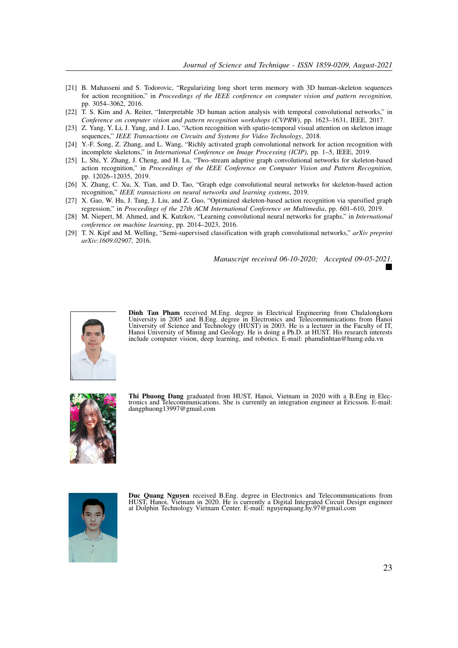- [21] B. Mahasseni and S. Todorovic, "Regularizing long short term memory with 3D human-skeleton sequences for action recognition," in *Proceedings of the IEEE conference on computer vision and pattern recognition*, pp. 3054–3062, 2016.
- [22] T. S. Kim and A. Reiter, "Interpretable 3D human action analysis with temporal convolutional networks," in *Conference on computer vision and pattern recognition workshops (CVPRW)*, pp. 1623–1631, IEEE, 2017.
- [23] Z. Yang, Y. Li, J. Yang, and J. Luo, "Action recognition with spatio-temporal visual attention on skeleton image sequences," *IEEE Transactions on Circuits and Systems for Video Technology*, 2018.
- [24] Y.-F. Song, Z. Zhang, and L. Wang, "Richly activated graph convolutional network for action recognition with incomplete skeletons," in *International Conference on Image Processing (ICIP)*, pp. 1–5, IEEE, 2019.
- [25] L. Shi, Y. Zhang, J. Cheng, and H. Lu, "Two-stream adaptive graph convolutional networks for skeleton-based action recognition," in *Proceedings of the IEEE Conference on Computer Vision and Pattern Recognition*, pp. 12026–12035, 2019.
- [26] X. Zhang, C. Xu, X. Tian, and D. Tao, "Graph edge convolutional neural networks for skeleton-based action recognition," *IEEE transactions on neural networks and learning systems*, 2019.
- [27] X. Gao, W. Hu, J. Tang, J. Liu, and Z. Guo, "Optimized skeleton-based action recognition via sparsified graph regression," in *Proceedings of the 27th ACM International Conference on Multimedia*, pp. 601–610, 2019.
- [28] M. Niepert, M. Ahmed, and K. Kutzkov, "Learning convolutional neural networks for graphs," in *International conference on machine learning*, pp. 2014–2023, 2016.
- [29] T. N. Kipf and M. Welling, "Semi-supervised classification with graph convolutional networks," *arXiv preprint arXiv:1609.02907*, 2016.

*Manuscript received 06-10-2020; Accepted 09-05-2021.*



**Dinh Tan Pham** received M.Eng. degree in Electrical Engineering from Chulalongkorn University in 2005 and B.Eng. degree in Electronics and Telecommunications from Hanoi University of Science and Technology (HUST) in 2003. He is a lecturer in the Faculty of IT, Hanoi University of Mining and Geology. He is doing a Ph.D. at HUST. His research interests include computer vision, deep learning, and robotics. E-mail: phamdinhtan@humg.edu.vn



**Thi Phuong Dang** graduated from HUST, Hanoi, Vietnam in 2020 with a B.Eng in Electronics and Telecommunications. She is currently an integration engineer at Ericsson. E-mail: dangphuong13997@gmail.com



**Duc Quang Nguyen** received B.Eng. degree in Electronics and Telecommunications from HUST, Hanoi, Vietnam in 2020. He is currently a Digital Integrated Circuit Design engineer at Dolphin Technology Vietnam Center. E-mail: nguyenquang.hy.97@gmail.com